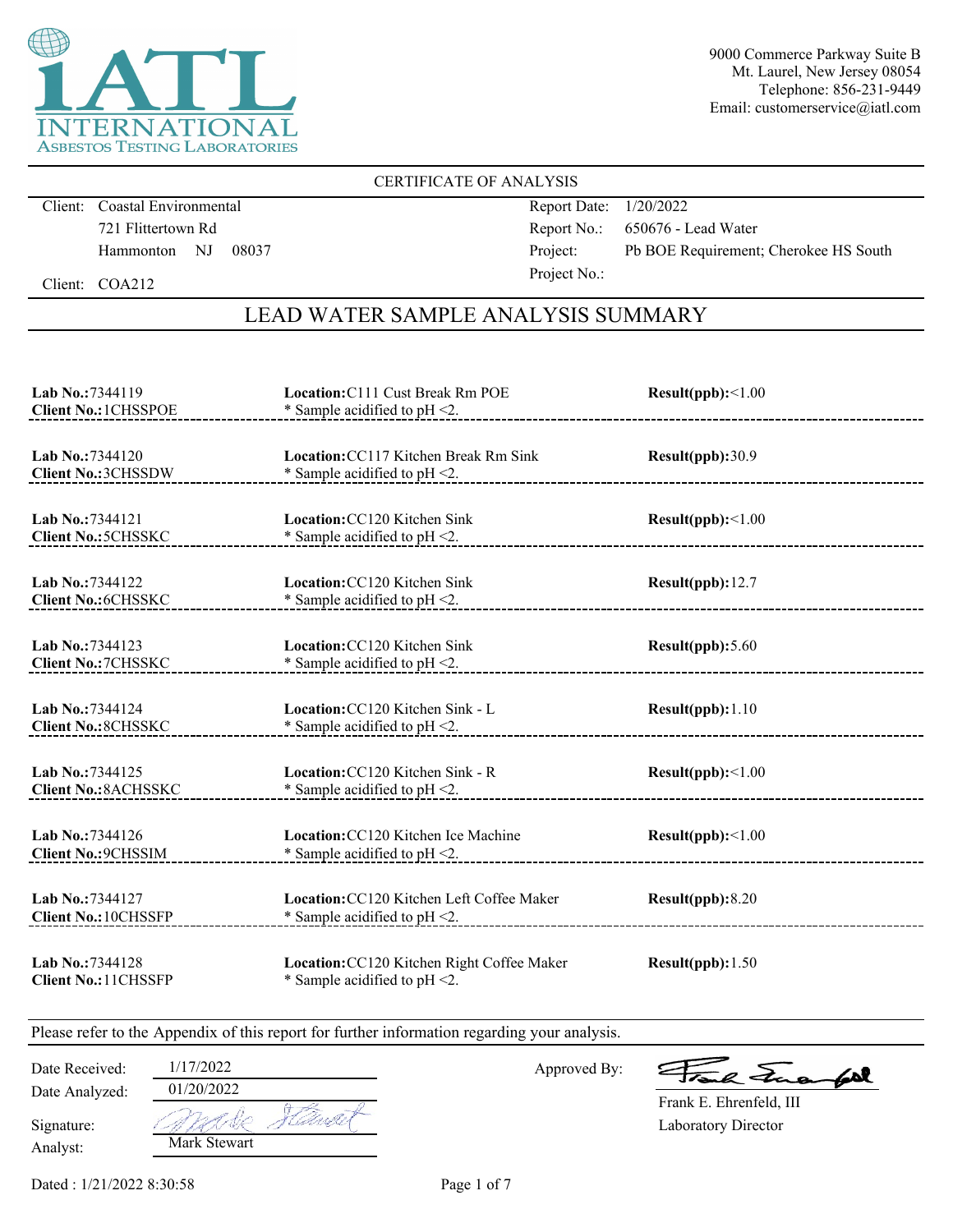

### CERTIFICATE OF ANALYSIS

Client: Coastal Environmental 721 Flittertown Rd Hammonton NJ 08037 Report Date: 1/20/2022 Report No.: 650676 - Lead Water Project: Pb BOE Requirement; Cherokee HS South Project No.:

Client: COA212

# LEAD WATER SAMPLE ANALYSIS SUMMARY

| Lab No.:7344119<br><b>Client No.: 1CHSSPOE</b>       | Location: C111 Cust Break Rm POE<br>* Sample acidified to pH <2.               | Result(ppb):<1.00 |
|------------------------------------------------------|--------------------------------------------------------------------------------|-------------------|
| <b>Lab No.:7344120</b><br><b>Client No.: 3CHSSDW</b> | Location: CC117 Kitchen Break Rm Sink<br>* Sample acidified to pH <2.          | Result(ppb):30.9  |
| Lab No.: 7344121<br><b>Client No.: 5CHSSKC</b>       | <b>Location: CC120 Kitchen Sink</b><br>* Sample acidified to pH <2.            | Result(ppb):<1.00 |
| Lab No.:7344122<br><b>Client No.:6CHSSKC</b>         | <b>Location: CC120 Kitchen Sink</b><br>* Sample acidified to pH <2.            | Result(ppb): 12.7 |
| Lab No.:7344123<br><b>Client No.: 7CHSSKC</b>        | Location: CC120 Kitchen Sink<br>* Sample acidified to $pH < 2$ .               | Result(ppb): 5.60 |
| Lab No.: 7344124<br><b>Client No.: 8CHSSKC</b>       | Location: CC120 Kitchen Sink - L<br>* Sample acidified to pH <2.               | Result(ppb): 1.10 |
| Lab No.: 7344125<br><b>Client No.: 8ACHSSKC</b>      | Location: CC120 Kitchen Sink - R<br>* Sample acidified to pH <2.               | Result(ppb):<1.00 |
| Lab No.:7344126<br><b>Client No.: 9CHSSIM</b>        | Location: CC120 Kitchen Ice Machine<br>* Sample acidified to pH <2.            | Result(ppb):<1.00 |
| Lab No.: 7344127<br><b>Client No.: 10CHSSFP</b>      | Location: CC120 Kitchen Left Coffee Maker<br>* Sample acidified to $pH < 2$ .  | Result(ppb): 8.20 |
| Lab No.:7344128<br><b>Client No.: 11CHSSFP</b>       | Location: CC120 Kitchen Right Coffee Maker<br>* Sample acidified to $pH < 2$ . | Result(ppb): 1.50 |

Please refer to the Appendix of this report for further information regarding your analysis.

Date Analyzed: Date Received: 1/17/2022

Approved By:

a Juan 602

Laboratory Director Frank E. Ehrenfeld, III

Analyst: Signature: 01/20/2022 -life Mark Stewart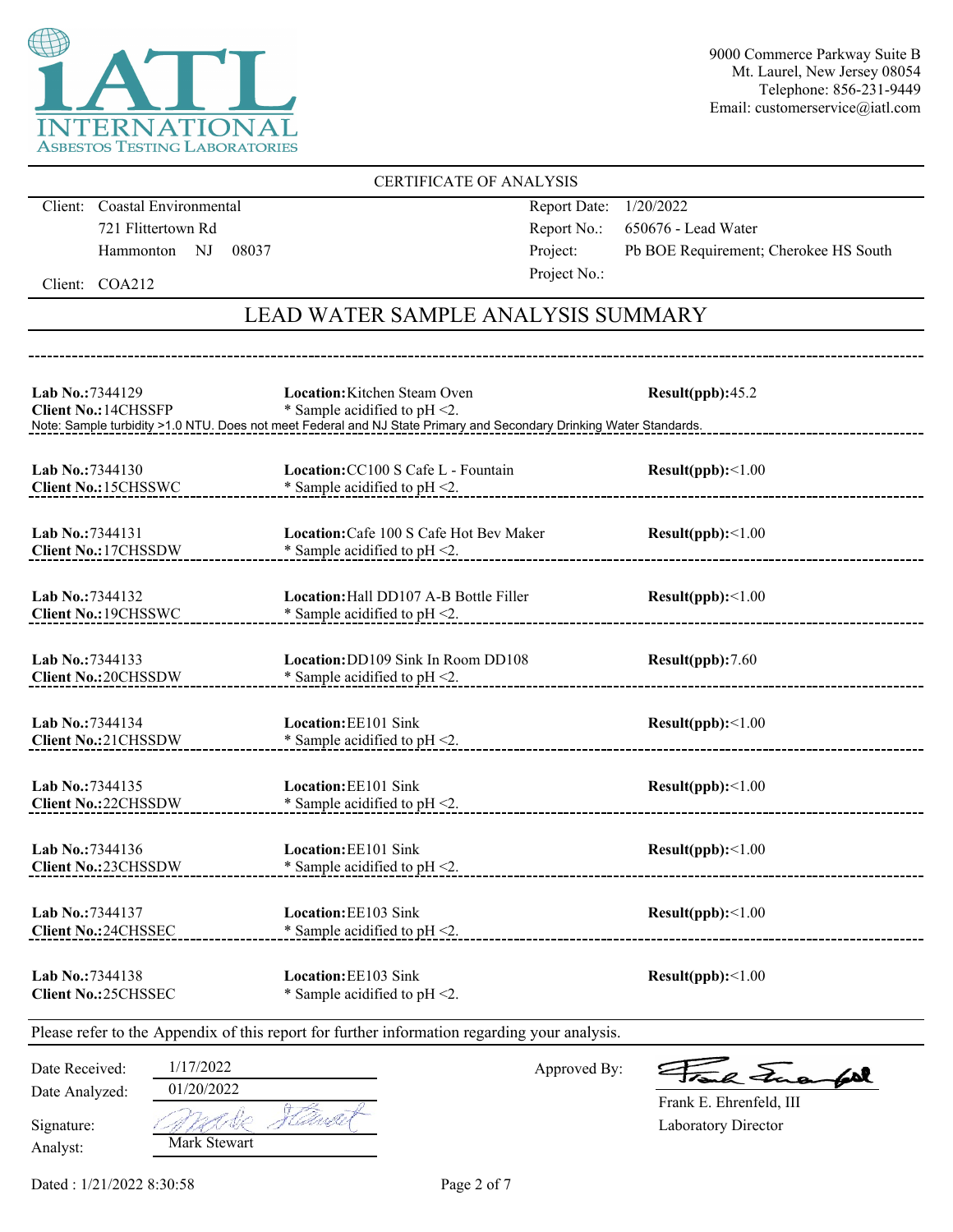

### CERTIFICATE OF ANALYSIS

Client: Coastal Environmental 721 Flittertown Rd Hammonton NJ 08037 Report Date: 1/20/2022 Report No.: 650676 - Lead Water Project: Pb BOE Requirement; Cherokee HS South Project No.:

Client: COA212

# LEAD WATER SAMPLE ANALYSIS SUMMARY

| Lab No.:7344129<br><b>Client No.: 14CHSSFP</b>                                               |                                                     | Location: Kitchen Steam Oven<br>* Sample acidified to pH <2.<br>Note: Sample turbidity >1.0 NTU. Does not meet Federal and NJ State Primary and Secondary Drinking Water Standards. | Result(ppb):45.2                       |
|----------------------------------------------------------------------------------------------|-----------------------------------------------------|-------------------------------------------------------------------------------------------------------------------------------------------------------------------------------------|----------------------------------------|
| Lab No.:7344130<br>Client No.: 15CHSSWC                                                      |                                                     | Location: CC100 S Cafe L - Fountain<br>* Sample acidified to pH <2.                                                                                                                 | Result(ppb):<1.00                      |
| Lab No.: 7344131<br>Client No.: 17CHSSDW                                                     |                                                     | Location: Cafe 100 S Cafe Hot Bev Maker<br>* Sample acidified to pH <2.                                                                                                             | Result(ppb):<1.00                      |
| Lab No.:7344132<br>Client No.: 19CHSSWC                                                      |                                                     | Location: Hall DD107 A-B Bottle Filler<br>* Sample acidified to pH <2.                                                                                                              | Result(ppb):<1.00                      |
| Lab No.:7344133<br><b>Client No.: 20CHSSDW</b>                                               |                                                     | Location: DD109 Sink In Room DD108<br>* Sample acidified to pH <2.                                                                                                                  | Result(ppb):7.60                       |
| Lab No.:7344134<br>Client No.:21CHSSDW                                                       |                                                     | Location: EE101 Sink<br>* Sample acidified to pH <2. <b>All and COVID-100</b> * Sample acidified to pH <2.                                                                          | Result(ppb):<1.00                      |
| <b>Lab No.:7344135</b><br><b>Client No.:22CHSSDW</b>                                         |                                                     | Location: EE101 Sink<br>* Sample acidified to pH <2.<br>____________________________________                                                                                        | Result(ppb):<1.00                      |
| Lab No.:7344136<br><b>Client No.:23CHSSDW</b>                                                |                                                     | Location: EE101 Sink<br>* Sample acidified to pH <2.                                                                                                                                | Result(ppb):<1.00                      |
| Lab No.: 7344137<br><b>Client No.:24CHSSEC</b>                                               |                                                     | Location: EE103 Sink<br>* Sample acidified to pH <2.                                                                                                                                | Result(ppb):<1.00                      |
| <b>Lab No.:7344138</b><br><b>Client No.:25CHSSEC</b>                                         |                                                     | <b>Location: EE103 Sink</b><br>* Sample acidified to pH <2.                                                                                                                         | Result(ppb):<1.00                      |
| Please refer to the Appendix of this report for further information regarding your analysis. |                                                     |                                                                                                                                                                                     |                                        |
| Date Received:<br>Date Analyzed:                                                             | 1/17/2022<br>01/20/2022<br>$\gamma$ $\sim$ $\gamma$ | Approved By:<br>开尽                                                                                                                                                                  | Touch Frage<br>Frank E. Ehrenfeld, III |

Analyst: Signature: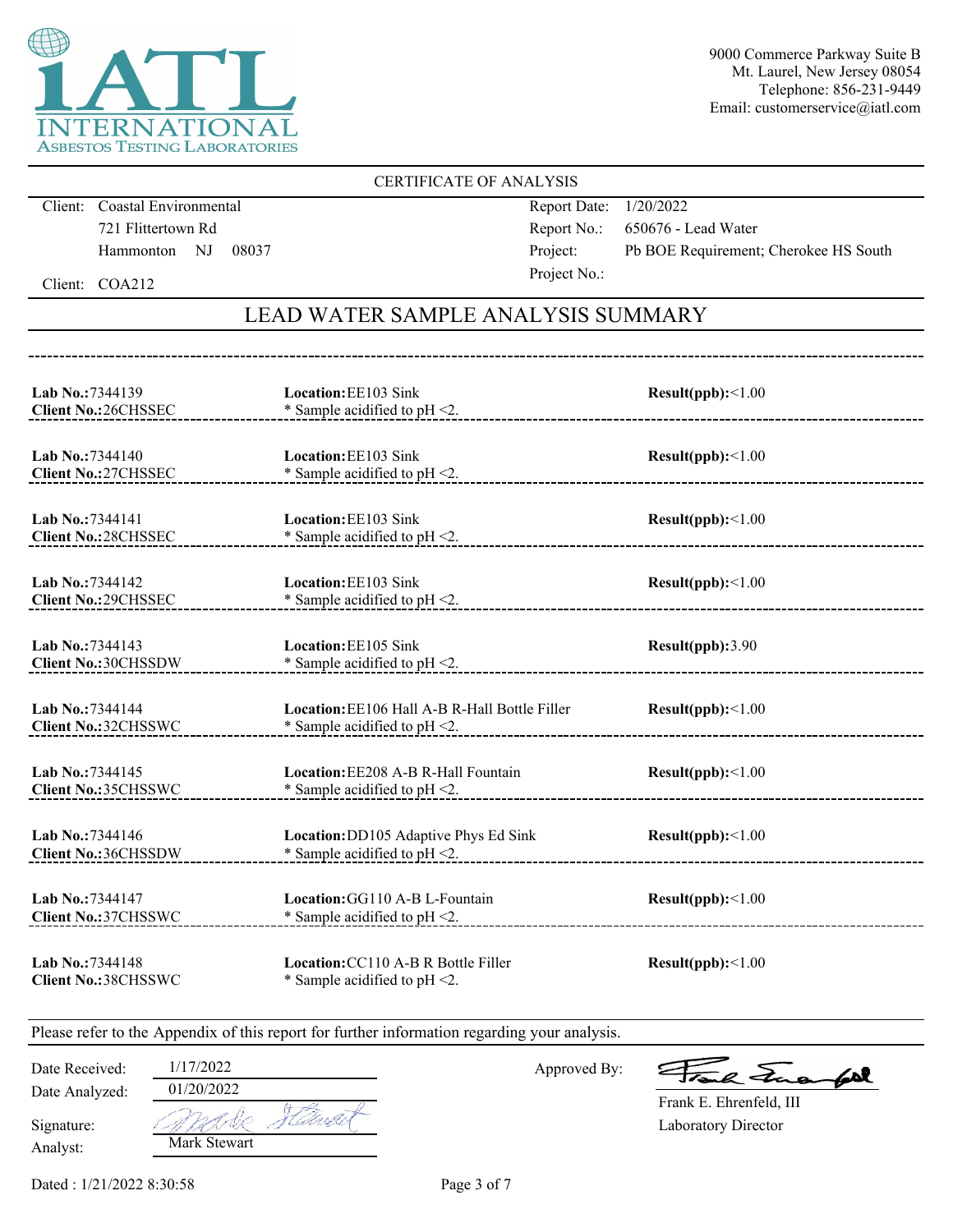

### CERTIFICATE OF ANALYSIS

Client: Coastal Environmental 721 Flittertown Rd Hammonton NJ 08037 Report Date: 1/20/2022 Report No.: 650676 - Lead Water Project: Pb BOE Requirement; Cherokee HS South Project No.:

Client: COA212

# LEAD WATER SAMPLE ANALYSIS SUMMARY

| Lab No.:7344139                                 | Location: EE103 Sink                                                    | Result(ppb):<1.00       |
|-------------------------------------------------|-------------------------------------------------------------------------|-------------------------|
| <b>Client No.: 26CHSSEC</b>                     | * Sample acidified to $pH < 2$ .                                        | _______________________ |
| Lab No.:7344140                                 | Location: EE103 Sink                                                    | Result(ppb):<1.00       |
| <b>Client No.:27CHSSEC</b>                      | * Sample acidified to pH <2.                                            |                         |
| Lab No.:7344141<br><b>Client No.: 28CHSSEC</b>  | <b>Location: EE103 Sink</b><br>$*$ Sample acidified to pH <2.           | Result(ppb):<1.00       |
| Lab No.: 7344142                                | Location: EE103 Sink                                                    | Result(ppb):<1.00       |
| <b>Client No.: 29CHSSEC</b>                     | * Sample acidified to $pH < 2$ .                                        |                         |
| Lab No.: 7344143                                | Location: EE105 Sink                                                    | Result(ppb):3.90        |
| <b>Client No.: 30CHSSDW</b>                     | $*$ Sample acidified to pH <2.                                          |                         |
| Lab No.: 7344144                                | <b>Location:</b> EE106 Hall A-B R-Hall Bottle Filler                    | Result(ppb):<1.00       |
| <b>Client No.:32CHSSWC</b>                      | * Sample acidified to $pH < 2$ .                                        |                         |
| Lab No.: 7344145                                | Location: EE208 A-B R-Hall Fountain                                     | Result(ppb):<1.00       |
| <b>Client No.:35CHSSWC</b>                      | * Sample acidified to $pH < 2$ .                                        |                         |
| Lab No.: 7344146                                | Location: DD105 Adaptive Phys Ed Sink                                   | Result(ppb):<1.00       |
| <b>Client No.: 36CHSSDW</b>                     | * Sample acidified to pH <2.                                            |                         |
| Lab No.: 7344147<br><b>Client No.:37CHSSWC</b>  | Location: GG110 A-B L-Fountain<br>* Sample acidified to $pH < 2$ .      | Result(ppb):<1.00       |
| Lab No.: 7344148<br><b>Client No.: 38CHSSWC</b> | Location: CC110 A-B R Bottle Filler<br>* Sample acidified to $pH < 2$ . | Result(ppb):<1.00       |

Please refer to the Appendix of this report for further information regarding your analysis.

Date Analyzed: Date Received: 1/17/2022 Approved By:

a Lua  $60$ 

Laboratory Director Frank E. Ehrenfeld, III

Analyst: Signature: Mark Stewart

01/20/2022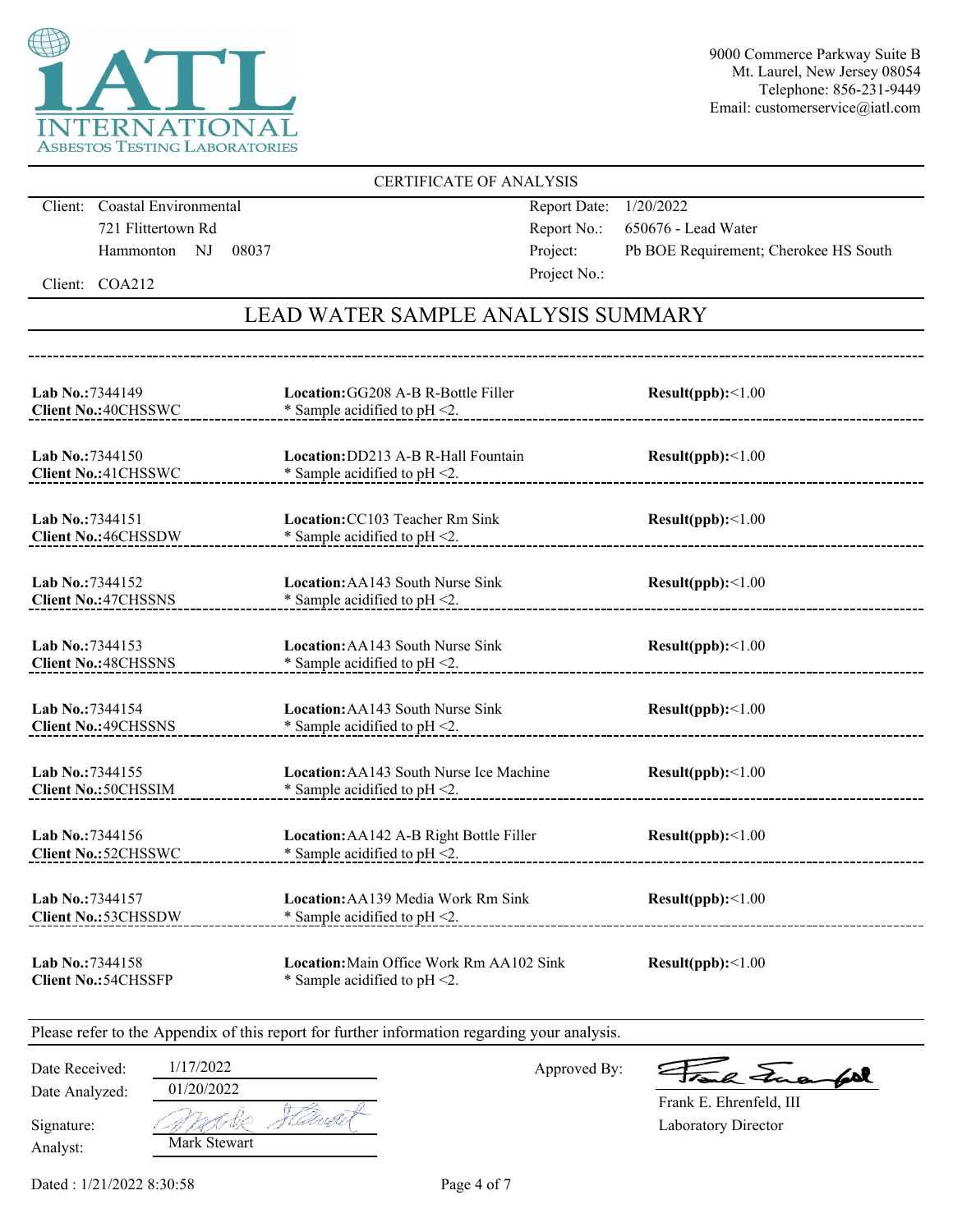

### CERTIFICATE OF ANALYSIS

Client: Coastal Environmental 721 Flittertown Rd Hammonton NJ 08037 Report Date: 1/20/2022 Report No.: 650676 - Lead Water Project: Pb BOE Requirement; Cherokee HS South Project No.:

Client: COA212

# LEAD WATER SAMPLE ANALYSIS SUMMARY

| Lab No.: 7344149<br><b>Client No.: 40CHSSWC</b>       | Location: GG208 A-B R-Bottle Filler<br>* Sample acidified to $pH < 2$ .       | Result(ppb):<1.00        |
|-------------------------------------------------------|-------------------------------------------------------------------------------|--------------------------|
| Lab No.: 7344150                                      | Location: DD213 A-B R-Hall Fountain                                           | Result(ppb):<1.00        |
| <b>Client No.: 41 CHSSWC</b>                          | * Sample acidified to $pH < 2$ .                                              |                          |
| Lab No.: 7344151                                      | Location: CC103 Teacher Rm Sink                                               | $Result(ppb): \leq 1.00$ |
| <b>Client No.: 46CHSSDW</b>                           | * Sample acidified to $pH < 2$ .                                              |                          |
| Lab No.: 7344152                                      | Location: AA143 South Nurse Sink                                              | Result(ppb):<1.00        |
| <b>Client No.: 47CHSSNS</b>                           | * Sample acidified to $pH < 2$ .                                              |                          |
| Lab No.: 7344153                                      | Location: AA143 South Nurse Sink                                              | Result(ppb):<1.00        |
| <b>Client No.: 48CHSSNS</b>                           | $*$ Sample acidified to pH <2.                                                |                          |
| <b>Lab No.:7344154</b>                                | <b>Location:</b> AA143 South Nurse Sink                                       | Result(ppb):<1.00        |
| <b>Client No.: 49CHSSNS</b>                           | $*$ Sample acidified to pH <2.                                                |                          |
| Lab No.: 7344155                                      | Location: AA143 South Nurse Ice Machine                                       | Result(ppb):<1.00        |
| <b>Client No.: 50CHSSIM</b>                           | * Sample acidified to $pH < 2$ .                                              |                          |
| Lab No.: 7344156                                      | Location: AA142 A-B Right Bottle Filler                                       | $Result(ppb): \leq 1.00$ |
| <b>Client No.: 52CHSSWC</b>                           | * Sample acidified to pH <2.                                                  |                          |
| <b>Lab No.:7344157</b><br><b>Client No.: 53CHSSDW</b> | <b>Location:</b> AA139 Media Work Rm Sink<br>* Sample acidified to $pH < 2$ . | Result(ppb):<1.00        |
| Lab No.:7344158<br><b>Client No.: 54CHSSFP</b>        | Location: Main Office Work Rm AA102 Sink<br>* Sample acidified to $pH < 2$ .  | Result(ppb):<1.00        |

Please refer to the Appendix of this report for further information regarding your analysis.

| Date Received: | 1/17/2022    |
|----------------|--------------|
| Date Analyzed: | 01/20/2022   |
| Signature:     | WAR.<br>CAMP |
| Analyst:       | Mark Stewart |

Approved By:

a Jua fol

Laboratory Director Frank E. Ehrenfeld, III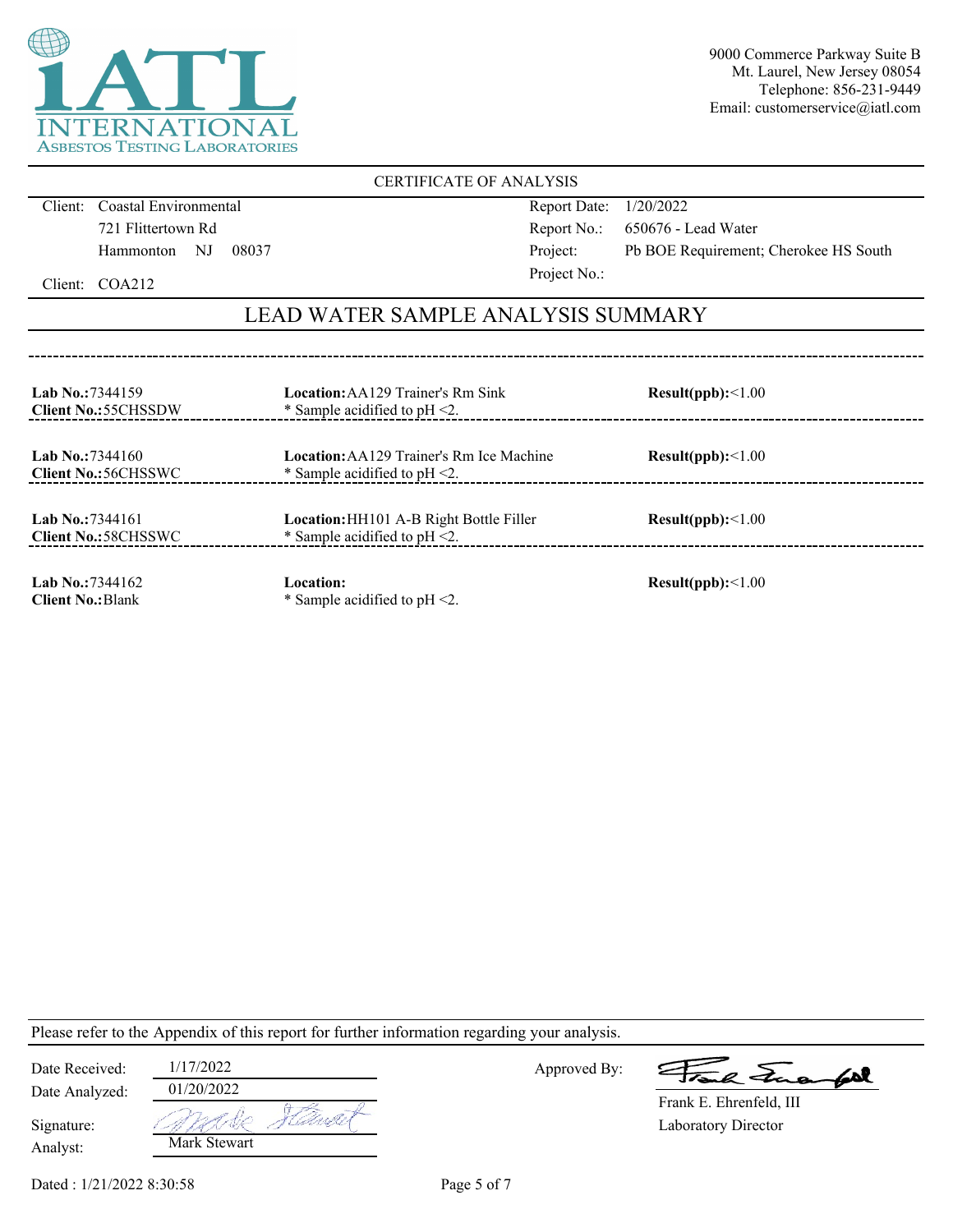

### CERTIFICATE OF ANALYSIS

Client: Coastal Environmental 721 Flittertown Rd Hammonton NJ 08037 Report Date: 1/20/2022 Report No.: 650676 - Lead Water Project: Pb BOE Requirement; Cherokee HS South Project No.:

Client: COA212

## LEAD WATER SAMPLE ANALYSIS SUMMARY

| <b>Lab No.:7344159</b><br><b>Client No.:55CHSSDW</b> | <b>Location:</b> AA129 Trainer's Rm Sink<br>* Sample acidified to $pH < 2$ .        | Result(ppb):<1.00 |
|------------------------------------------------------|-------------------------------------------------------------------------------------|-------------------|
| Lab No.: $7344160$<br><b>Client No.:56CHSSWC</b>     | <b>Location:</b> AA129 Trainer's Rm Ice Machine<br>* Sample acidified to $pH < 2$ . | Result(ppb):<1.00 |
| Lab No.: 7344161<br><b>Client No.:58CHSSWC</b>       | <b>Location:</b> HH101 A-B Right Bottle Filler<br>* Sample acidified to $pH < 2$ .  | Result(ppb):<1.00 |
| Lab No.: $7344162$<br><b>Client No.: Blank</b>       | Location:<br>* Sample acidified to $pH < 2$ .                                       | Result(ppb):<1.00 |

Please refer to the Appendix of this report for further information regarding your analysis.

| Date Received:         | 1/17/2022    |            |
|------------------------|--------------|------------|
| Date Analyzed:         | 01/20/2022   |            |
| Signature:<br>Analyst: | Mark Stewart | ' Alastist |

Approved By:

a Frank

Laboratory Director Frank E. Ehrenfeld, III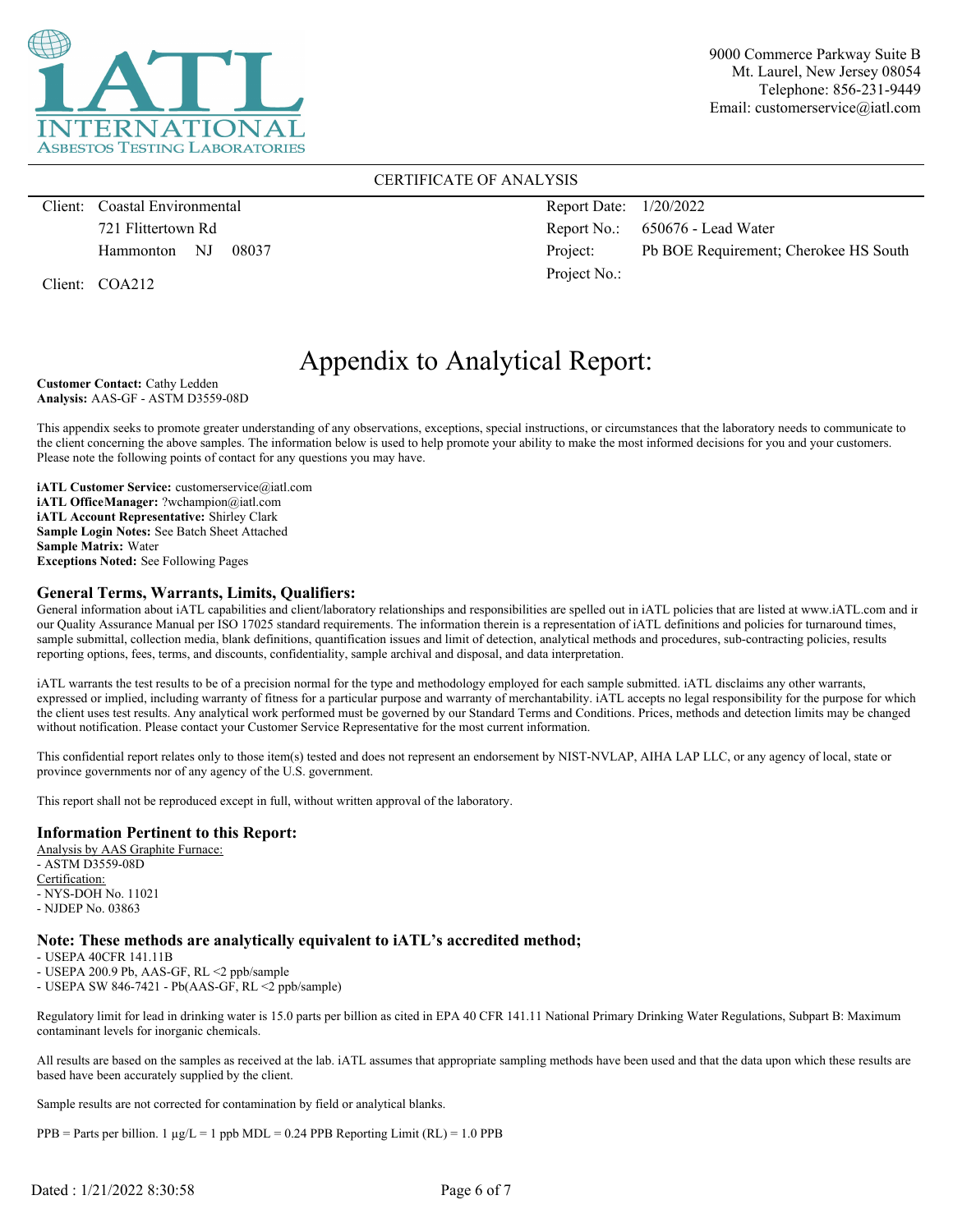

### CERTIFICATE OF ANALYSIS

Client: Coastal Environmental 721 Flittertown Rd Hammonton NJ 08037

Client: COA212

Report Date: 1/20/2022 Report No.: 650676 - Lead Water Project: Pb BOE Requirement; Cherokee HS South Project No.:

# Appendix to Analytical Report:

**Customer Contact:** Cathy Ledden **Analysis:** AAS-GF - ASTM D3559-08D

This appendix seeks to promote greater understanding of any observations, exceptions, special instructions, or circumstances that the laboratory needs to communicate to the client concerning the above samples. The information below is used to help promote your ability to make the most informed decisions for you and your customers. Please note the following points of contact for any questions you may have.

**iATL Customer Service:** customerservice@iatl.com **iATL OfficeManager:** ?wchampion@iatl.com **iATL Account Representative:** Shirley Clark **Sample Login Notes:** See Batch Sheet Attached **Sample Matrix:** Water **Exceptions Noted:** See Following Pages

#### **General Terms, Warrants, Limits, Qualifiers:**

General information about iATL capabilities and client/laboratory relationships and responsibilities are spelled out in iATL policies that are listed at www.iATL.com and in our Quality Assurance Manual per ISO 17025 standard requirements. The information therein is a representation of iATL definitions and policies for turnaround times, sample submittal, collection media, blank definitions, quantification issues and limit of detection, analytical methods and procedures, sub-contracting policies, results reporting options, fees, terms, and discounts, confidentiality, sample archival and disposal, and data interpretation.

iATL warrants the test results to be of a precision normal for the type and methodology employed for each sample submitted. iATL disclaims any other warrants, expressed or implied, including warranty of fitness for a particular purpose and warranty of merchantability. iATL accepts no legal responsibility for the purpose for which the client uses test results. Any analytical work performed must be governed by our Standard Terms and Conditions. Prices, methods and detection limits may be changed without notification. Please contact your Customer Service Representative for the most current information.

This confidential report relates only to those item(s) tested and does not represent an endorsement by NIST-NVLAP, AIHA LAP LLC, or any agency of local, state or province governments nor of any agency of the U.S. government.

This report shall not be reproduced except in full, without written approval of the laboratory.

#### **Information Pertinent to this Report:**

Analysis by AAS Graphite Furnace: - ASTM D3559-08D Certification: - NYS-DOH No. 11021 - NJDEP No. 03863

#### **Note: These methods are analytically equivalent to iATL's accredited method;**

- USEPA 40CFR 141.11B

- USEPA 200.9 Pb, AAS-GF, RL <2 ppb/sample

- USEPA SW 846-7421 - Pb(AAS-GF, RL <2 ppb/sample)

Regulatory limit for lead in drinking water is 15.0 parts per billion as cited in EPA 40 CFR 141.11 National Primary Drinking Water Regulations, Subpart B: Maximum contaminant levels for inorganic chemicals.

All results are based on the samples as received at the lab. iATL assumes that appropriate sampling methods have been used and that the data upon which these results are based have been accurately supplied by the client.

Sample results are not corrected for contamination by field or analytical blanks.

 $PPB =$  Parts per billion. 1  $\mu g/L = 1$  ppb MDL = 0.24 PPB Reporting Limit (RL) = 1.0 PPB